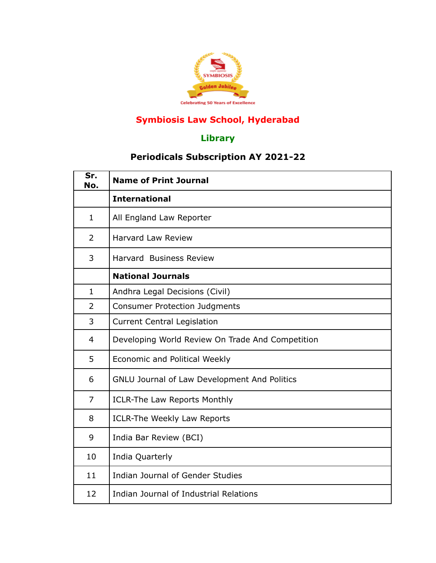

## **Symbiosis Law School, Hyderabad**

## **Library**

## **Periodicals Subscription AY 2021-22**

| Sr.<br>No.     | <b>Name of Print Journal</b>                        |
|----------------|-----------------------------------------------------|
|                | <b>International</b>                                |
| $\mathbf{1}$   | All England Law Reporter                            |
| $\overline{2}$ | <b>Harvard Law Review</b>                           |
| 3              | <b>Harvard Business Review</b>                      |
|                | <b>National Journals</b>                            |
| $\mathbf{1}$   | Andhra Legal Decisions (Civil)                      |
| $\overline{2}$ | <b>Consumer Protection Judgments</b>                |
| 3              | <b>Current Central Legislation</b>                  |
| $\overline{4}$ | Developing World Review On Trade And Competition    |
| 5              | Economic and Political Weekly                       |
| 6              | <b>GNLU Journal of Law Development And Politics</b> |
| $\overline{7}$ | <b>ICLR-The Law Reports Monthly</b>                 |
| 8              | ICLR-The Weekly Law Reports                         |
| 9              | India Bar Review (BCI)                              |
| 10             | India Quarterly                                     |
| 11             | Indian Journal of Gender Studies                    |
| 12             | Indian Journal of Industrial Relations              |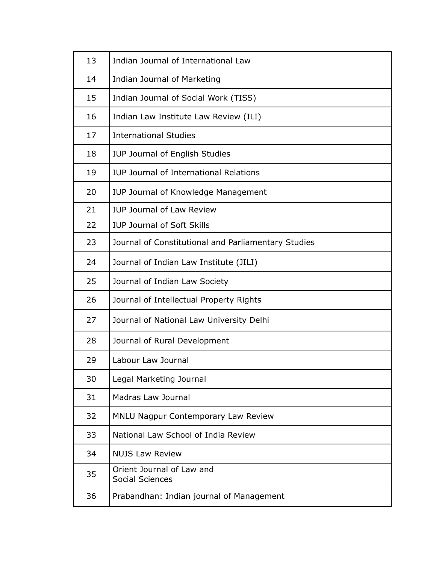| 13 | Indian Journal of International Law                 |
|----|-----------------------------------------------------|
| 14 | Indian Journal of Marketing                         |
| 15 | Indian Journal of Social Work (TISS)                |
| 16 | Indian Law Institute Law Review (ILI)               |
| 17 | <b>International Studies</b>                        |
| 18 | <b>IUP Journal of English Studies</b>               |
| 19 | <b>IUP Journal of International Relations</b>       |
| 20 | IUP Journal of Knowledge Management                 |
| 21 | <b>IUP Journal of Law Review</b>                    |
| 22 | <b>IUP Journal of Soft Skills</b>                   |
| 23 | Journal of Constitutional and Parliamentary Studies |
| 24 | Journal of Indian Law Institute (JILI)              |
| 25 | Journal of Indian Law Society                       |
| 26 | Journal of Intellectual Property Rights             |
| 27 | Journal of National Law University Delhi            |
| 28 | Journal of Rural Development                        |
| 29 | Labour Law Journal                                  |
| 30 | Legal Marketing Journal                             |
| 31 | Madras Law Journal                                  |
| 32 | <b>MNLU Nagpur Contemporary Law Review</b>          |
| 33 | National Law School of India Review                 |
| 34 | <b>NUJS Law Review</b>                              |
| 35 | Orient Journal of Law and<br><b>Social Sciences</b> |
| 36 | Prabandhan: Indian journal of Management            |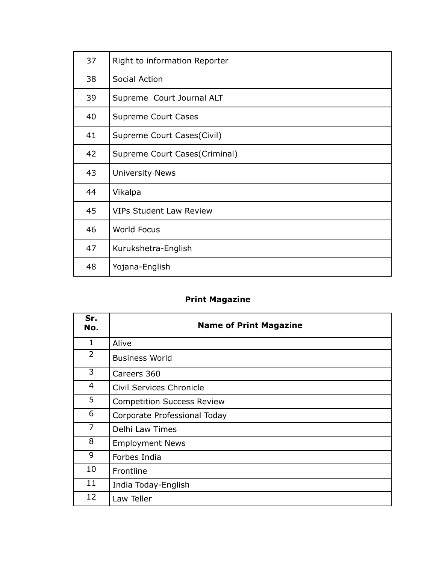| 37 | Right to information Reporter  |
|----|--------------------------------|
| 38 | Social Action                  |
| 39 | Supreme Court Journal ALT      |
| 40 | <b>Supreme Court Cases</b>     |
| 41 | Supreme Court Cases(Civil)     |
| 42 | Supreme Court Cases(Criminal)  |
| 43 | <b>University News</b>         |
| 44 | Vikalpa                        |
| 45 | <b>VIPs Student Law Review</b> |
| 46 | <b>World Focus</b>             |
| 47 | Kurukshetra-English            |
| 48 | Yojana-English                 |

## **Print Magazine**

| Sr.<br>No.     | <b>Name of Print Magazine</b>     |
|----------------|-----------------------------------|
| $\mathbf 1$    | Alive                             |
| $\overline{2}$ | <b>Business World</b>             |
| 3              | Careers 360                       |
| 4              | Civil Services Chronicle          |
| 5              | <b>Competition Success Review</b> |
| 6              | Corporate Professional Today      |
| 7              | Delhi Law Times                   |
| 8              | <b>Employment News</b>            |
| 9              | Forbes India                      |
| 10             | Frontline                         |
| 11             | India Today-English               |
| 12             | Law Teller                        |